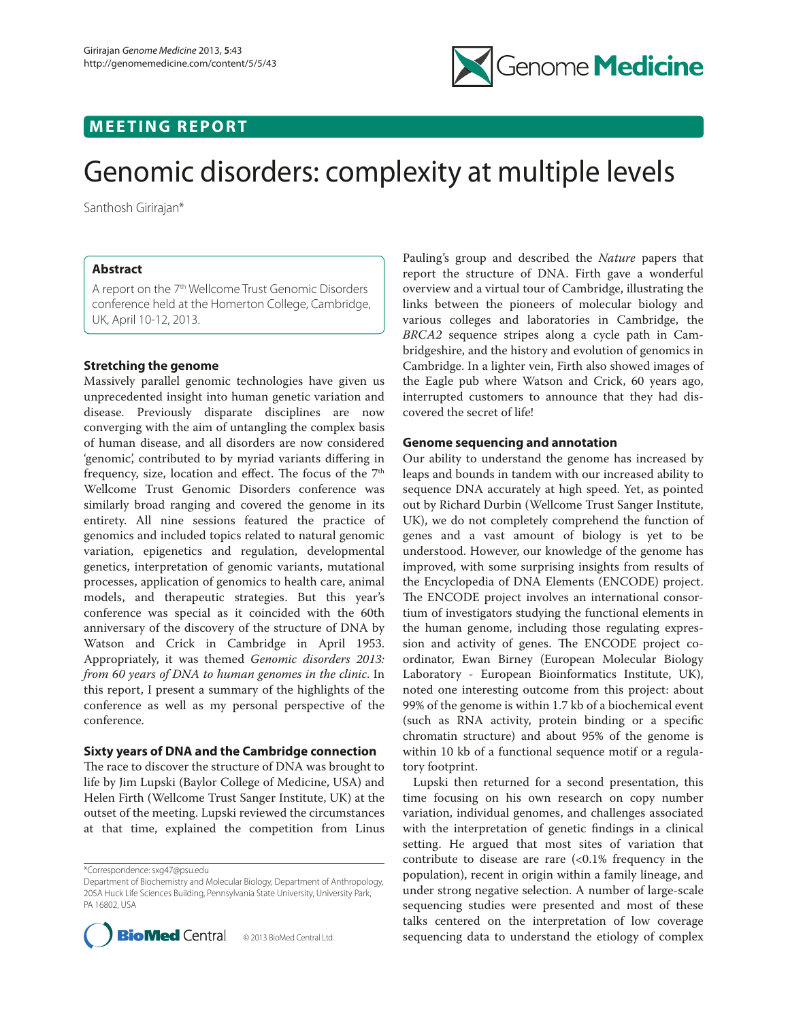

# **M E E T I N G R E P O R T**

# Genomic disorders: complexity at multiple levels

Santhosh Girirajan\*

## **Abstract**

A report on the 7<sup>th</sup> Wellcome Trust Genomic Disorders conference held at the Homerton College, Cambridge, UK, April 10-12, 2013.

## **Stretching the genome**

Massively parallel genomic technologies have given us unprecedented insight into human genetic variation and disease. Previously disparate disciplines are now converging with the aim of untangling the complex basis of human disease, and all disorders are now considered 'genomic', contributed to by myriad variants differing in frequency, size, location and effect. The focus of the 7<sup>th</sup> Wellcome Trust Genomic Disorders conference was similarly broad ranging and covered the genome in its entirety. All nine sessions featured the practice of genomics and included topics related to natural genomic variation, epigenetics and regulation, developmental genetics, interpretation of genomic variants, mutational processes, application of genomics to health care, animal models, and therapeutic strategies. But this year's conference was special as it coincided with the 60th anniversary of the discovery of the structure of DNA by Watson and Crick in Cambridge in April 1953. Appropriately, it was themed *Genomic disorders 2013: from 60 years of DNA to human genomes in the clinic*. In this report, I present a summary of the highlights of the conference as well as my personal perspective of the conference.

### **Sixty years of DNA and the Cambridge connection**

The race to discover the structure of DNA was brought to life by Jim Lupski (Baylor College of Medicine, USA) and Helen Firth (Wellcome Trust Sanger Institute, UK) at the outset of the meeting. Lupski reviewed the circumstances at that time, explained the competition from Linus

\*Correspondence: sxg47@psu.edu

Department of Biochemistry and Molecular Biology, Department of Anthropology, 205A Huck Life Sciences Building, Pennsylvania State University, University Park, PA 16802, USA



Pauling's group and described the *Nature* papers that report the structure of DNA. Firth gave a wonderful overview and a virtual tour of Cambridge, illustrating the links between the pioneers of molecular biology and various colleges and laboratories in Cambridge, the *BRCA2* sequence stripes along a cycle path in Cambridge shire, and the history and evolution of genomics in Cambridge. In a lighter vein, Firth also showed images of the Eagle pub where Watson and Crick, 60 years ago, interrupted customers to announce that they had discovered the secret of life!

#### **Genome sequencing and annotation**

Our ability to understand the genome has increased by leaps and bounds in tandem with our increased ability to sequence DNA accurately at high speed. Yet, as pointed out by Richard Durbin (Wellcome Trust Sanger Institute, UK), we do not completely comprehend the function of genes and a vast amount of biology is yet to be understood. However, our knowledge of the genome has improved, with some surprising insights from results of the Encyclopedia of DNA Elements (ENCODE) project. The ENCODE project involves an international consortium of investigators studying the functional elements in the human genome, including those regulating expression and activity of genes. The ENCODE project coordinator, Ewan Birney (European Molecular Biology Laboratory - European Bioinformatics Institute, UK), noted one interesting outcome from this project: about 99% of the genome is within 1.7 kb of a biochemical event  $(such as RNA activity, protein binding or a specific$ chromatin structure) and about 95% of the genome is within 10 kb of a functional sequence motif or a regulatory footprint.

Lupski then returned for a second presentation, this time focusing on his own research on copy number variation, individual genomes, and challenges associated with the interpretation of genetic findings in a clinical setting. He argued that most sites of variation that contribute to disease are rare  $\langle$ <0.1% frequency in the population), recent in origin within a family lineage, and under strong negative selection. A number of large-scale sequencing studies were presented and most of these talks centered on the interpretation of low coverage sequencing data to understand the etiology of complex